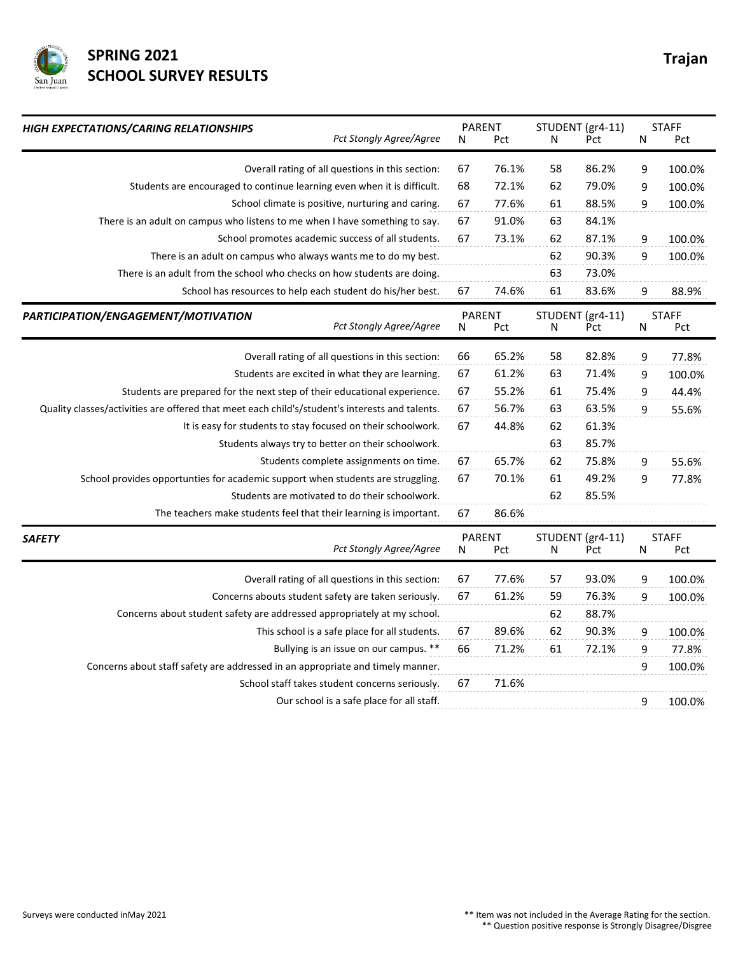

## **SPRING 2021** Trajan **SCHOOL SURVEY RESULTS**

| HIGH EXPECTATIONS/CARING RELATIONSHIPS<br>Pct Stongly Agree/Agree                              | <b>PARENT</b><br>N<br>Pct |       | STUDENT (gr4-11)<br>N<br>Pct |       | <b>STAFF</b><br>N<br>Pct |                     |  |
|------------------------------------------------------------------------------------------------|---------------------------|-------|------------------------------|-------|--------------------------|---------------------|--|
|                                                                                                |                           |       |                              |       |                          |                     |  |
| Overall rating of all questions in this section:                                               | 67                        | 76.1% | 58                           | 86.2% | 9                        | 100.0%              |  |
| Students are encouraged to continue learning even when it is difficult.                        | 68                        | 72.1% | 62                           | 79.0% | 9                        | 100.0%              |  |
| School climate is positive, nurturing and caring.                                              | 67                        | 77.6% | 61                           | 88.5% | 9                        | 100.0%              |  |
| There is an adult on campus who listens to me when I have something to say.                    | 67                        | 91.0% | 63                           | 84.1% |                          |                     |  |
| School promotes academic success of all students.                                              | 67                        | 73.1% | 62                           | 87.1% | 9                        | 100.0%              |  |
| There is an adult on campus who always wants me to do my best.                                 |                           |       | 62                           | 90.3% | 9                        | 100.0%              |  |
| There is an adult from the school who checks on how students are doing.                        |                           |       | 63                           | 73.0% |                          |                     |  |
| School has resources to help each student do his/her best.                                     | 67                        | 74.6% | 61                           | 83.6% | 9                        | 88.9%               |  |
| PARTICIPATION/ENGAGEMENT/MOTIVATION<br><b>Pct Stongly Agree/Agree</b>                          | <b>PARENT</b><br>N        | Pct   | STUDENT (gr4-11)<br>N        | Pct   | ${\sf N}$                | <b>STAFF</b><br>Pct |  |
| Overall rating of all questions in this section:                                               | 66                        | 65.2% | 58                           | 82.8% | 9                        | 77.8%               |  |
| Students are excited in what they are learning.                                                | 67                        | 61.2% | 63                           | 71.4% | 9                        | 100.0%              |  |
| Students are prepared for the next step of their educational experience.                       | 67                        | 55.2% | 61                           | 75.4% | 9                        | 44.4%               |  |
| Quality classes/activities are offered that meet each child's/student's interests and talents. | 67                        | 56.7% | 63                           | 63.5% | 9                        | 55.6%               |  |
| It is easy for students to stay focused on their schoolwork.                                   | 67                        | 44.8% | 62                           | 61.3% |                          |                     |  |
| Students always try to better on their schoolwork.                                             |                           |       | 63                           | 85.7% |                          |                     |  |
| Students complete assignments on time.                                                         | 67                        | 65.7% | 62                           | 75.8% | 9                        | 55.6%               |  |
| School provides opportunties for academic support when students are struggling.                | 67                        | 70.1% | 61                           | 49.2% | 9                        | 77.8%               |  |
| Students are motivated to do their schoolwork.                                                 |                           |       | 62                           | 85.5% |                          |                     |  |
| The teachers make students feel that their learning is important.                              | 67                        | 86.6% |                              |       |                          |                     |  |
| <b>SAFETY</b><br>Pct Stongly Agree/Agree                                                       | <b>PARENT</b><br>Ν        | Pct   | STUDENT (gr4-11)<br>N        | Pct   | N                        | <b>STAFF</b><br>Pct |  |
| Overall rating of all questions in this section:                                               | 67                        | 77.6% | 57                           | 93.0% | 9                        | 100.0%              |  |
| Concerns abouts student safety are taken seriously.                                            | 67                        | 61.2% | 59                           | 76.3% | 9                        | 100.0%              |  |
| Concerns about student safety are addressed appropriately at my school.                        |                           |       | 62                           | 88.7% |                          |                     |  |
| This school is a safe place for all students.                                                  | 67                        | 89.6% | 62                           | 90.3% | 9                        | 100.0%              |  |
| Bullying is an issue on our campus. **                                                         | 66                        | 71.2% | 61                           | 72.1% | 9                        | 77.8%               |  |
| Concerns about staff safety are addressed in an appropriate and timely manner.                 |                           |       |                              |       | 9                        | 100.0%              |  |
| School staff takes student concerns seriously.                                                 | 67                        | 71.6% |                              |       |                          |                     |  |
| Our school is a safe place for all staff.                                                      |                           |       |                              |       | 9                        | 100.0%              |  |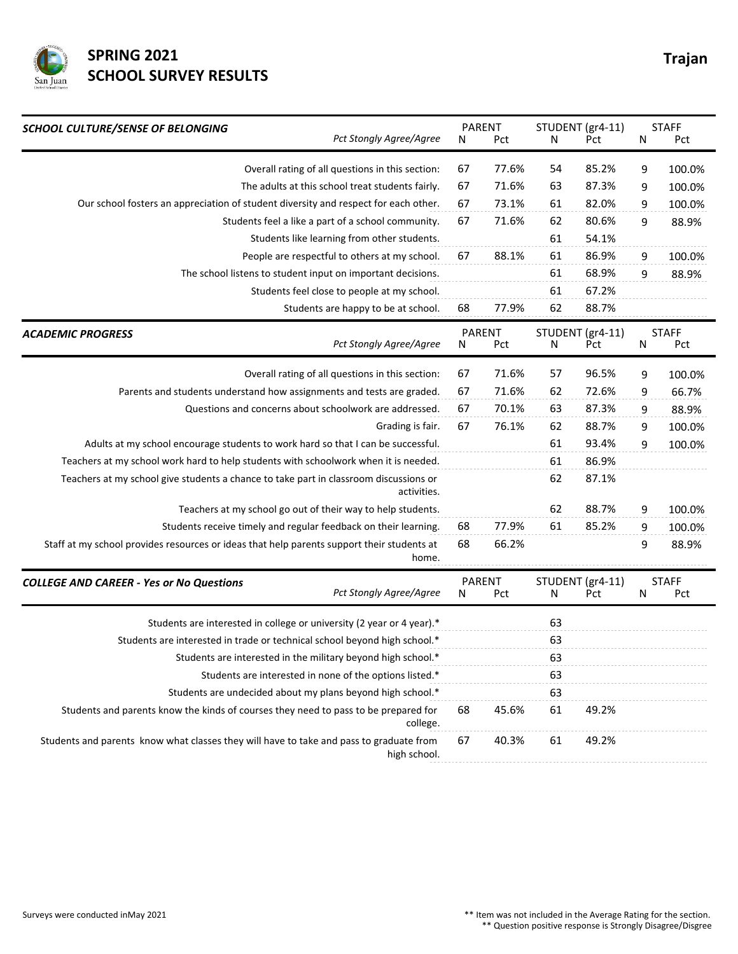

## **SPRING 2021** Trajan **SCHOOL SURVEY RESULTS**

| <b>SCHOOL CULTURE/SENSE OF BELONGING</b><br>Pct Stongly Agree/Agree                                     |    | <b>PARENT</b><br>Pct | STUDENT (gr4-11)<br>N<br>Pct |       | <b>STAFF</b><br>Ν<br>Pct |                     |
|---------------------------------------------------------------------------------------------------------|----|----------------------|------------------------------|-------|--------------------------|---------------------|
|                                                                                                         | N  |                      |                              |       |                          |                     |
| Overall rating of all questions in this section:                                                        | 67 | 77.6%                | 54                           | 85.2% | 9                        | 100.0%              |
| The adults at this school treat students fairly.                                                        | 67 | 71.6%                | 63                           | 87.3% | 9                        | 100.0%              |
| Our school fosters an appreciation of student diversity and respect for each other.                     | 67 | 73.1%                | 61                           | 82.0% | 9                        | 100.0%              |
| Students feel a like a part of a school community.                                                      | 67 | 71.6%                | 62                           | 80.6% | 9                        | 88.9%               |
| Students like learning from other students.                                                             |    |                      | 61                           | 54.1% |                          |                     |
| People are respectful to others at my school.                                                           | 67 | 88.1%                | 61                           | 86.9% | 9                        | 100.0%              |
| The school listens to student input on important decisions.                                             |    |                      | 61                           | 68.9% | 9                        | 88.9%               |
| Students feel close to people at my school.                                                             |    |                      | 61                           | 67.2% |                          |                     |
| Students are happy to be at school.                                                                     | 68 | 77.9%                | 62                           | 88.7% |                          |                     |
| <b>ACADEMIC PROGRESS</b><br>Pct Stongly Agree/Agree                                                     | Ν  | <b>PARENT</b><br>Pct | STUDENT (gr4-11)<br>N<br>Pct |       | N                        | <b>STAFF</b><br>Pct |
| Overall rating of all questions in this section:                                                        | 67 | 71.6%                | 57                           | 96.5% | 9                        | 100.0%              |
| Parents and students understand how assignments and tests are graded.                                   | 67 | 71.6%                | 62                           | 72.6% | 9                        | 66.7%               |
| Questions and concerns about schoolwork are addressed.                                                  | 67 | 70.1%                | 63                           | 87.3% | 9                        | 88.9%               |
| Grading is fair.                                                                                        | 67 | 76.1%                | 62                           | 88.7% | 9                        | 100.0%              |
| Adults at my school encourage students to work hard so that I can be successful.                        |    |                      | 61                           | 93.4% | 9                        | 100.0%              |
| Teachers at my school work hard to help students with schoolwork when it is needed.                     |    |                      | 61                           | 86.9% |                          |                     |
| Teachers at my school give students a chance to take part in classroom discussions or<br>activities.    |    |                      | 62                           | 87.1% |                          |                     |
| Teachers at my school go out of their way to help students.                                             |    |                      | 62                           | 88.7% | 9                        | 100.0%              |
| Students receive timely and regular feedback on their learning.                                         | 68 | 77.9%                | 61                           | 85.2% | 9                        | 100.0%              |
| Staff at my school provides resources or ideas that help parents support their students at<br>home.     | 68 | 66.2%                |                              |       | 9                        | 88.9%               |
| <b>COLLEGE AND CAREER - Yes or No Questions</b><br>Pct Stongly Agree/Agree                              | N  | <b>PARENT</b><br>Pct | STUDENT (gr4-11)<br>N        | Pct   | N                        | <b>STAFF</b><br>Pct |
| Students are interested in college or university (2 year or 4 year).*                                   |    |                      | 63                           |       |                          |                     |
| Students are interested in trade or technical school beyond high school.*                               |    |                      | 63                           |       |                          |                     |
| Students are interested in the military beyond high school.*                                            |    |                      | 63                           |       |                          |                     |
| Students are interested in none of the options listed.*                                                 |    |                      | 63                           |       |                          |                     |
| Students are undecided about my plans beyond high school.*                                              |    |                      | 63                           |       |                          |                     |
| Students and parents know the kinds of courses they need to pass to be prepared for<br>college.         | 68 | 45.6%                | 61                           | 49.2% |                          |                     |
| Students and parents know what classes they will have to take and pass to graduate from<br>high school. | 67 | 40.3%                | 61                           | 49.2% |                          |                     |